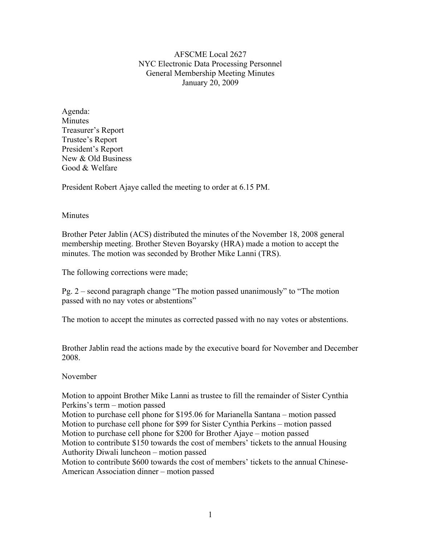AFSCME Local 2627 NYC Electronic Data Processing Personnel General Membership Meeting Minutes January 20, 2009

Agenda: Minutes Treasurer's Report Trustee's Report President's Report New & Old Business Good & Welfare

President Robert Ajaye called the meeting to order at 6.15 PM.

#### Minutes

Brother Peter Jablin (ACS) distributed the minutes of the November 18, 2008 general membership meeting. Brother Steven Boyarsky (HRA) made a motion to accept the minutes. The motion was seconded by Brother Mike Lanni (TRS).

The following corrections were made;

Pg. 2 – second paragraph change "The motion passed unanimously" to "The motion passed with no nay votes or abstentions"

The motion to accept the minutes as corrected passed with no nay votes or abstentions.

Brother Jablin read the actions made by the executive board for November and December 2008.

#### November

Motion to appoint Brother Mike Lanni as trustee to fill the remainder of Sister Cynthia Perkins's term – motion passed

Motion to purchase cell phone for \$195.06 for Marianella Santana – motion passed Motion to purchase cell phone for \$99 for Sister Cynthia Perkins – motion passed Motion to purchase cell phone for \$200 for Brother Ajaye – motion passed Motion to contribute \$150 towards the cost of members' tickets to the annual Housing Authority Diwali luncheon – motion passed

Motion to contribute \$600 towards the cost of members' tickets to the annual Chinese-American Association dinner – motion passed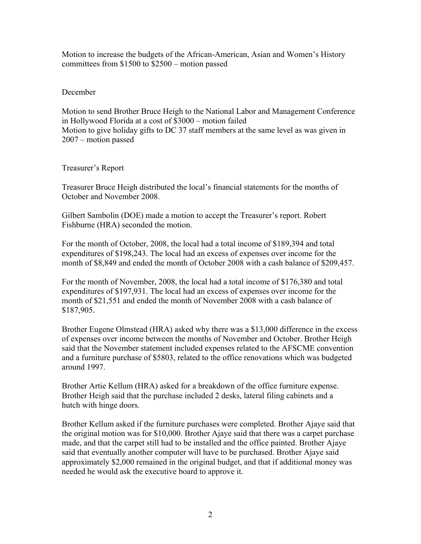Motion to increase the budgets of the African-American, Asian and Women's History committees from \$1500 to \$2500 – motion passed

### December

Motion to send Brother Bruce Heigh to the National Labor and Management Conference in Hollywood Florida at a cost of \$3000 – motion failed Motion to give holiday gifts to DC 37 staff members at the same level as was given in 2007 – motion passed

## Treasurer's Report

Treasurer Bruce Heigh distributed the local's financial statements for the months of October and November 2008.

Gilbert Sambolin (DOE) made a motion to accept the Treasurer's report. Robert Fishburne (HRA) seconded the motion.

For the month of October, 2008, the local had a total income of \$189,394 and total expenditures of \$198,243. The local had an excess of expenses over income for the month of \$8,849 and ended the month of October 2008 with a cash balance of \$209,457.

For the month of November, 2008, the local had a total income of \$176,380 and total expenditures of \$197,931. The local had an excess of expenses over income for the month of \$21,551 and ended the month of November 2008 with a cash balance of \$187,905.

Brother Eugene Olmstead (HRA) asked why there was a \$13,000 difference in the excess of expenses over income between the months of November and October. Brother Heigh said that the November statement included expenses related to the AFSCME convention and a furniture purchase of \$5803, related to the office renovations which was budgeted around 1997.

Brother Artie Kellum (HRA) asked for a breakdown of the office furniture expense. Brother Heigh said that the purchase included 2 desks, lateral filing cabinets and a hutch with hinge doors.

Brother Kellum asked if the furniture purchases were completed. Brother Ajaye said that the original motion was for \$10,000. Brother Ajaye said that there was a carpet purchase made, and that the carpet still had to be installed and the office painted. Brother Ajaye said that eventually another computer will have to be purchased. Brother Ajaye said approximately \$2,000 remained in the original budget, and that if additional money was needed he would ask the executive board to approve it.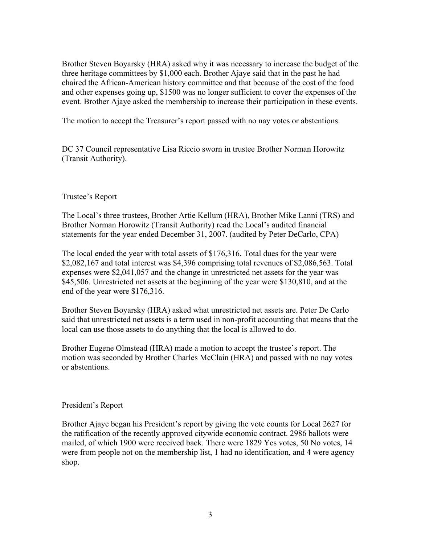Brother Steven Boyarsky (HRA) asked why it was necessary to increase the budget of the three heritage committees by \$1,000 each. Brother Ajaye said that in the past he had chaired the African-American history committee and that because of the cost of the food and other expenses going up, \$1500 was no longer sufficient to cover the expenses of the event. Brother Ajaye asked the membership to increase their participation in these events.

The motion to accept the Treasurer's report passed with no nay votes or abstentions.

DC 37 Council representative Lisa Riccio sworn in trustee Brother Norman Horowitz (Transit Authority).

## Trustee's Report

The Local's three trustees, Brother Artie Kellum (HRA), Brother Mike Lanni (TRS) and Brother Norman Horowitz (Transit Authority) read the Local's audited financial statements for the year ended December 31, 2007. (audited by Peter DeCarlo, CPA)

The local ended the year with total assets of \$176,316. Total dues for the year were \$2,082,167 and total interest was \$4,396 comprising total revenues of \$2,086,563. Total expenses were \$2,041,057 and the change in unrestricted net assets for the year was \$45,506. Unrestricted net assets at the beginning of the year were \$130,810, and at the end of the year were \$176,316.

Brother Steven Boyarsky (HRA) asked what unrestricted net assets are. Peter De Carlo said that unrestricted net assets is a term used in non-profit accounting that means that the local can use those assets to do anything that the local is allowed to do.

Brother Eugene Olmstead (HRA) made a motion to accept the trustee's report. The motion was seconded by Brother Charles McClain (HRA) and passed with no nay votes or abstentions.

#### President's Report

Brother Ajaye began his President's report by giving the vote counts for Local 2627 for the ratification of the recently approved citywide economic contract. 2986 ballots were mailed, of which 1900 were received back. There were 1829 Yes votes, 50 No votes, 14 were from people not on the membership list, 1 had no identification, and 4 were agency shop.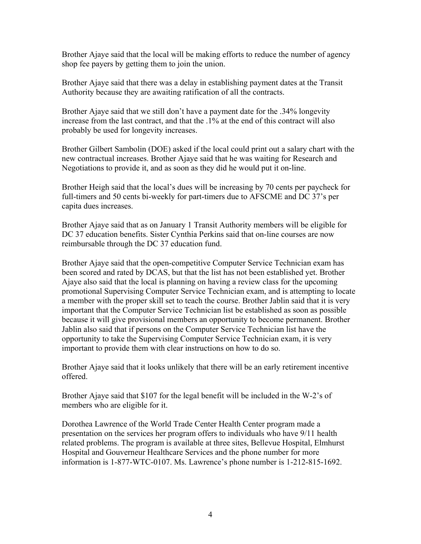Brother Ajaye said that the local will be making efforts to reduce the number of agency shop fee payers by getting them to join the union.

Brother Ajaye said that there was a delay in establishing payment dates at the Transit Authority because they are awaiting ratification of all the contracts.

Brother Ajaye said that we still don't have a payment date for the .34% longevity increase from the last contract, and that the .1% at the end of this contract will also probably be used for longevity increases.

Brother Gilbert Sambolin (DOE) asked if the local could print out a salary chart with the new contractual increases. Brother Ajaye said that he was waiting for Research and Negotiations to provide it, and as soon as they did he would put it on-line.

Brother Heigh said that the local's dues will be increasing by 70 cents per paycheck for full-timers and 50 cents bi-weekly for part-timers due to AFSCME and DC 37's per capita dues increases.

Brother Ajaye said that as on January 1 Transit Authority members will be eligible for DC 37 education benefits. Sister Cynthia Perkins said that on-line courses are now reimbursable through the DC 37 education fund.

Brother Ajaye said that the open-competitive Computer Service Technician exam has been scored and rated by DCAS, but that the list has not been established yet. Brother Ajaye also said that the local is planning on having a review class for the upcoming promotional Supervising Computer Service Technician exam, and is attempting to locate a member with the proper skill set to teach the course. Brother Jablin said that it is very important that the Computer Service Technician list be established as soon as possible because it will give provisional members an opportunity to become permanent. Brother Jablin also said that if persons on the Computer Service Technician list have the opportunity to take the Supervising Computer Service Technician exam, it is very important to provide them with clear instructions on how to do so.

Brother Ajaye said that it looks unlikely that there will be an early retirement incentive offered.

Brother Ajaye said that \$107 for the legal benefit will be included in the W-2's of members who are eligible for it.

Dorothea Lawrence of the World Trade Center Health Center program made a presentation on the services her program offers to individuals who have 9/11 health related problems. The program is available at three sites, Bellevue Hospital, Elmhurst Hospital and Gouverneur Healthcare Services and the phone number for more information is 1-877-WTC-0107. Ms. Lawrence's phone number is 1-212-815-1692.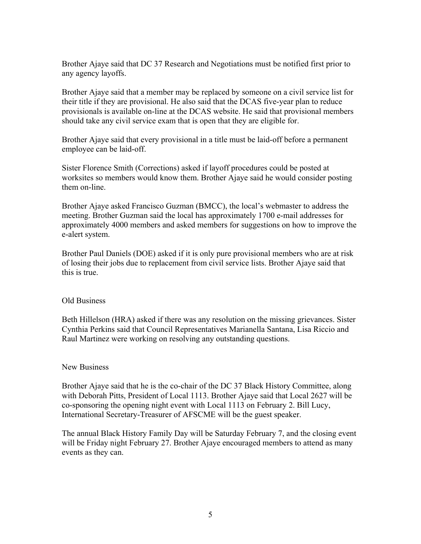Brother Ajaye said that DC 37 Research and Negotiations must be notified first prior to any agency layoffs.

Brother Ajaye said that a member may be replaced by someone on a civil service list for their title if they are provisional. He also said that the DCAS five-year plan to reduce provisionals is available on-line at the DCAS website. He said that provisional members should take any civil service exam that is open that they are eligible for.

Brother Ajaye said that every provisional in a title must be laid-off before a permanent employee can be laid-off.

Sister Florence Smith (Corrections) asked if layoff procedures could be posted at worksites so members would know them. Brother Ajaye said he would consider posting them on-line.

Brother Ajaye asked Francisco Guzman (BMCC), the local's webmaster to address the meeting. Brother Guzman said the local has approximately 1700 e-mail addresses for approximately 4000 members and asked members for suggestions on how to improve the e-alert system.

Brother Paul Daniels (DOE) asked if it is only pure provisional members who are at risk of losing their jobs due to replacement from civil service lists. Brother Ajaye said that this is true.

# Old Business

Beth Hillelson (HRA) asked if there was any resolution on the missing grievances. Sister Cynthia Perkins said that Council Representatives Marianella Santana, Lisa Riccio and Raul Martinez were working on resolving any outstanding questions.

# New Business

Brother Ajaye said that he is the co-chair of the DC 37 Black History Committee, along with Deborah Pitts, President of Local 1113. Brother Ajaye said that Local 2627 will be co-sponsoring the opening night event with Local 1113 on February 2. Bill Lucy, International Secretary-Treasurer of AFSCME will be the guest speaker.

The annual Black History Family Day will be Saturday February 7, and the closing event will be Friday night February 27. Brother Ajaye encouraged members to attend as many events as they can.